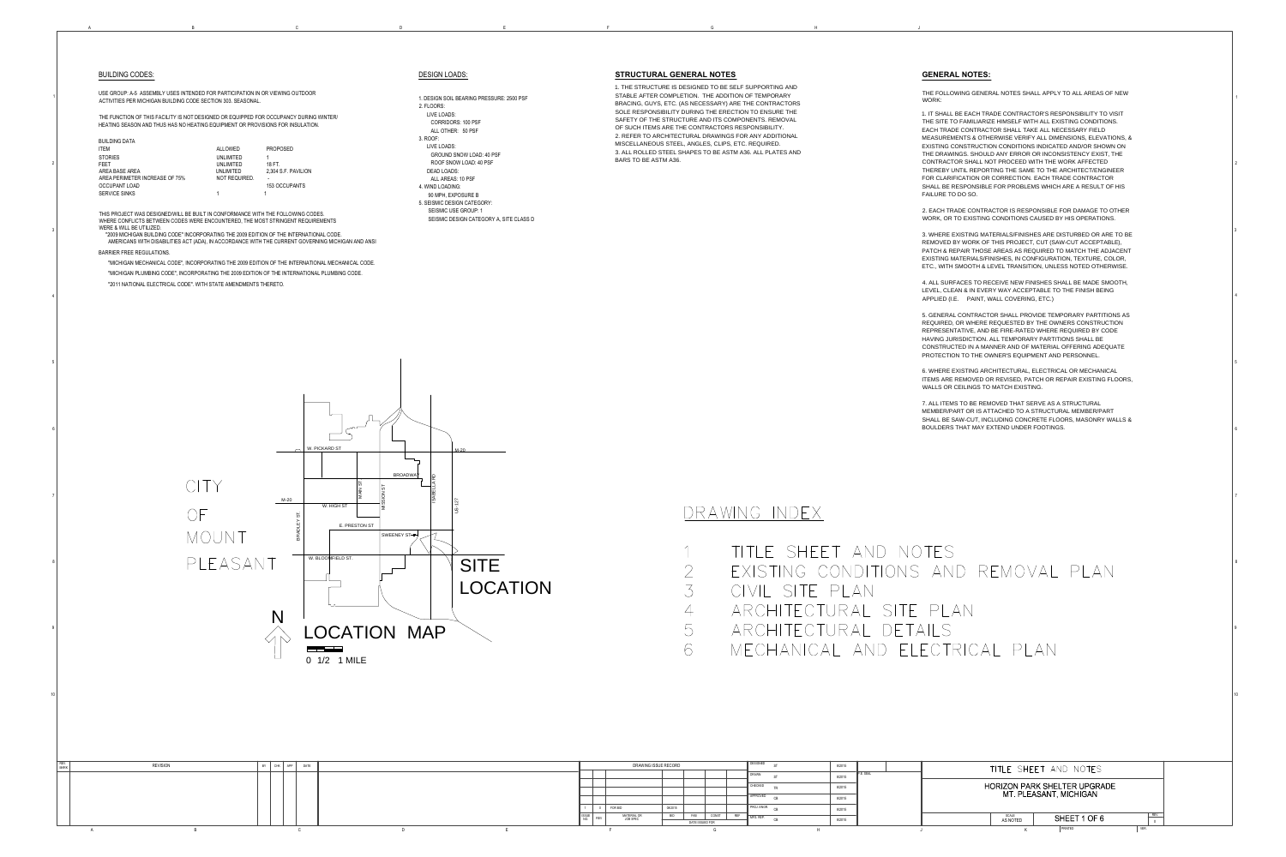2

3

4

5

6

7

8

9

1

| 8/2015 |            |                                     | TITLE SHEET AND NOTES |      |                      |  |  |  |  |  |
|--------|------------|-------------------------------------|-----------------------|------|----------------------|--|--|--|--|--|
| 8/2015 | IP.E. SEAL |                                     |                       |      |                      |  |  |  |  |  |
| 8/2015 |            | <b>HORIZON PARK SHELTER UPGRADE</b> |                       |      |                      |  |  |  |  |  |
| 8/2015 |            | MT. PLEASANT, MICHIGAN              |                       |      |                      |  |  |  |  |  |
| 8/2015 |            |                                     |                       |      |                      |  |  |  |  |  |
| 8/2015 |            | SCALE<br>AS NOTED                   | SHEET 1 OF 6          |      | REV.<br>$\mathbf{0}$ |  |  |  |  |  |
|        |            |                                     | PRINTED               | VER. |                      |  |  |  |  |  |

|                      | <b>BUILDING CODES:</b>                                                                                                                                                                                                                                                                                                                                                                                                                                                                                                                                                                                                                  |                                     |                                           |                                                          | <b>DESIGN LOADS:</b>                                                                                      |
|----------------------|-----------------------------------------------------------------------------------------------------------------------------------------------------------------------------------------------------------------------------------------------------------------------------------------------------------------------------------------------------------------------------------------------------------------------------------------------------------------------------------------------------------------------------------------------------------------------------------------------------------------------------------------|-------------------------------------|-------------------------------------------|----------------------------------------------------------|-----------------------------------------------------------------------------------------------------------|
|                      | USE GROUP: A-5 ASSEMBLY USES INTENDED FOR PARTICIPATION IN OR VIEWING OUTDOOR<br>ACTIVITIES PER MICHIGAN BUILDING CODE SECTION 303. SEASONAL.                                                                                                                                                                                                                                                                                                                                                                                                                                                                                           |                                     | 1. DESIGN SOIL BEARING PRESSURE: 2500 PSF |                                                          |                                                                                                           |
|                      | THE FUNCTION OF THIS FACILITY IS NOT DESIGNED OR EQUIPPED FOR OCCUPANCY DURING WINTER/                                                                                                                                                                                                                                                                                                                                                                                                                                                                                                                                                  |                                     |                                           |                                                          | 2. FLOORS:<br>LIVE LOADS:<br><b>CORRIDORS: 100 PSF</b>                                                    |
|                      | HEATING SEASON AND THUS HAS NO HEATING EQUIPMENT OR PROVISIONS FOR INSULATION.<br><b>BUILDING DATA</b><br><b>ITEM</b>                                                                                                                                                                                                                                                                                                                                                                                                                                                                                                                   | ALLOWED                             | <b>PROPOSED</b>                           |                                                          | ALL OTHER: 50 PSF<br>3. ROOF:<br>LIVE LOADS:<br><b>GROUND SNOW LOAD: 40 PSF</b>                           |
| $\overline{2}$       | <b>STORIES</b><br><b>FEET</b><br>AREA BASE AREA                                                                                                                                                                                                                                                                                                                                                                                                                                                                                                                                                                                         | UNLIMITED<br>UNLIMITED<br>UNLIMITED | 18 FT.<br>2,304 S.F. PAVILION             |                                                          | ROOF SNOW LOAD: 40 PSF<br><b>DEAD LOADS:</b>                                                              |
|                      | AREA PERIMETER INCREASE OF 75%<br><b>OCCUPANT LOAD</b><br><b>SERVICE SINKS</b>                                                                                                                                                                                                                                                                                                                                                                                                                                                                                                                                                          | NOT REQUIRED.                       | 153 OCCUPANTS                             |                                                          | ALL AREAS: 10 PSF<br>4. WIND LOADING:<br>90 MPH, EXPOSURE B                                               |
| 3                    | THIS PROJECT WAS DESIGNED/WILL BE BUILT IN CONFORMANCE WITH THE FOLLOWING CODES.<br>WHERE CONFLICTS BETWEEN CODES WERE ENCOUNTERED, THE MOST STRINGENT REQUIREMENTS<br>WERE & WILL BE UTILIZED.<br>"2009 MICHIGAN BUILDING CODE" INCORPORATING THE 2009 EDITION OF THE INTERNATIONAL CODE.<br>AMERICANS WITH DISABILITIES ACT (ADA), IN ACCORDANCE WITH THE CURRENT GOVERNING MICHIGAN AND ANSI<br><b>BARRIER FREE REGULATIONS.</b><br>"MICHIGAN MECHANICAL CODE", INCORPORATING THE 2009 EDITION OF THE INTERNATIONAL MECHANICAL CODE.<br>"MICHIGAN PLUMBING CODE", INCORPORATING THE 2009 EDITION OF THE INTERNATIONAL PLUMBING CODE. |                                     |                                           |                                                          | 5. SEISMIC DESIGN CATEGORY:<br><b>SEISMIC USE GROUP: 1</b><br>SEISMIC DESIGN CATEGORY A, SITE CLASS D     |
| 4                    | "2011 NATIONAL ELECTRICAL CODE". WITH STATE AMENDMENTS THERETO.                                                                                                                                                                                                                                                                                                                                                                                                                                                                                                                                                                         |                                     |                                           |                                                          |                                                                                                           |
| $5\overline{)}$<br>6 |                                                                                                                                                                                                                                                                                                                                                                                                                                                                                                                                                                                                                                         |                                     |                                           |                                                          |                                                                                                           |
| 7 <sup>1</sup>       |                                                                                                                                                                                                                                                                                                                                                                                                                                                                                                                                                                                                                                         |                                     | $M-20$<br>BRADLEY ST                      | W. PICKARD ST<br>MAIN ST.<br>W. HIGH ST<br>E. PRESTON ST | $M-20$<br><b>BROADWAY</b><br><b>Q</b><br><b>ISABELLA</b><br><u>်က</u><br>MISSION<br>US-127<br>SWEENEY ST- |
| 8 <sup>1</sup>       |                                                                                                                                                                                                                                                                                                                                                                                                                                                                                                                                                                                                                                         | PLEASANT                            |                                           | W. BLOOMFIELD ST.                                        | <b>SITE</b><br>LOCATIC                                                                                    |
| 9 <sup>1</sup>       |                                                                                                                                                                                                                                                                                                                                                                                                                                                                                                                                                                                                                                         |                                     | N                                         | 0 1/2 1 MILE                                             | LOCATION MAP                                                                                              |
| 10                   |                                                                                                                                                                                                                                                                                                                                                                                                                                                                                                                                                                                                                                         |                                     |                                           |                                                          |                                                                                                           |
| REV.<br><b>MARK</b>  | <b>REVISION</b>                                                                                                                                                                                                                                                                                                                                                                                                                                                                                                                                                                                                                         |                                     | BY<br>APP<br>DATE<br>CHK                  |                                                          |                                                                                                           |

A B B C D D E

### <u>VLOADS:</u>

B B C D E F G H J



10

#### **STRUCTURAL GENERAL NOTES**

1. THE STRUCTURE IS DESIGNED TO BE SELF SUPPORTING AND STABLE AFTER COMPLETION. THE ADDITION OF TEMPORARY BRACING, GUYS, ETC. (AS NECESSARY) ARE THE CONTRACTORS SOLE RESPONSIBILITY DURING THE ERECTION TO ENSURE THE SAFETY OF THE STRUCTURE AND ITS COMPONENTS. REMOVAL OF SUCH ITEMS ARE THE CONTRACTORS RESPONSIBILITY. 2. REFER TO ARCHITECTURAL DRAWINGS FOR ANY ADDITIONAL MISCELLANEOUS STEEL, ANGLES, CLIPS, ETC. REQUIRED. 3. ALL ROLLED STEEL SHAPES TO BE ASTM A36. ALL PLATES AND BARS TO BE ASTM A36.

## <u>DRAWING INDEX</u>

| $\begin{array}{c} \begin{array}{ccc} \begin{array}{ccc} \end{array} & \begin{array}{ccc} \end{array} & \end{array} & \begin{array}{ccc} \end{array} & \begin{array}{ccc} \end{array} & \begin{array}{ccc} \end{array} & \begin{array}{ccc} \end{array} & \begin{array}{ccc} \end{array} & \begin{array}{ccc} \end{array} & \begin{array}{ccc} \end{array} & \begin{array}{ccc} \end{array} & \begin{array}{ccc} \end{array} & \begin{array}{ccc} \end{array} & \begin{array}{ccc} \end{array} & \begin{array}{ccc} \end{array} & \begin{array}{ccc} \end{array} & \begin{array}{$ | IIILE SHEEI AND       |
|-----------------------------------------------------------------------------------------------------------------------------------------------------------------------------------------------------------------------------------------------------------------------------------------------------------------------------------------------------------------------------------------------------------------------------------------------------------------------------------------------------------------------------------------------------------------------------------|-----------------------|
| $\sum$                                                                                                                                                                                                                                                                                                                                                                                                                                                                                                                                                                            | FXISTING CONDIIIO     |
| $\left\langle \right\rangle$                                                                                                                                                                                                                                                                                                                                                                                                                                                                                                                                                      | C[V   S    P P   A N] |
| $\downarrow$                                                                                                                                                                                                                                                                                                                                                                                                                                                                                                                                                                      | ARCHITECTURAL S       |
| $\bigcup$                                                                                                                                                                                                                                                                                                                                                                                                                                                                                                                                                                         | ARCHITECTURAL D       |
| 6                                                                                                                                                                                                                                                                                                                                                                                                                                                                                                                                                                                 | MECHANICAL AND        |

### **GENERAL NOTES:**

THE FOLLOWING GENERAL NOTES SHALL APPLY TO ALL AREAS OF NEW WORK: 1. IT SHALL BE EACH TRADE CONTRACTOR'S RESPONSIBILITY TO VISIT THE SITE TO FAMILIARIZE HIMSELF WITH ALL EXISTING CONDITIONS. EACH TRADE CONTRACTOR SHALL TAKE ALL NECESSARY FIELD MEASUREMENTS & OTHERWISE VERIFY ALL DIMENSIONS, ELEVATIONS, & EXISTING CONSTRUCTION CONDITIONS INDICATED AND/OR SHOWN ON THE DRAWINGS. SHOULD ANY ERROR OR INCONSISTENCY EXIST, THE CONTRACTOR SHALL NOT PROCEED WITH THE WORK AFFECTED THEREBY UNTIL REPORTING THE SAME TO THE ARCHITECT/ENGINEER FOR CLARIFICATION OR CORRECTION. EACH TRADE CONTRACTOR SHALL BE RESPONSIBLE FOR PROBLEMS WHICH ARE A RESULT OF HIS FAILURE TO DO SO. 2. EACH TRADE CONTRACTOR IS RESPONSIBLE FOR DAMAGE TO OTHER WORK, OR TO EXISTING CONDITIONS CAUSED BY HIS OPERATIONS. 3. WHERE EXISTING MATERIALS/FINISHES ARE DISTURBED OR ARE TO BE REMOVED BY WORK OF THIS PROJECT, CUT (SAW-CUT ACCEPTABLE), PATCH & REPAIR THOSE AREAS AS REQUIRED TO MATCH THE ADJACENT EXISTING MATERIALS/FINISHES, IN CONFIGURATION, TEXTURE, COLOR, ETC., WITH SMOOTH & LEVEL TRANSITION, UNLESS NOTED OTHERWISE.

4. ALL SURFACES TO RECEIVE NEW FINISHES SHALL BE MADE SMOOTH, LEVEL, CLEAN & IN EVERY WAY ACCEPTABLE TO THE FINISH BEING APPLIED (I.E. PAINT, WALL COVERING, ETC.)

5. GENERAL CONTRACTOR SHALL PROVIDE TEMPORARY PARTITIONS AS REQUIRED, OR WHERE REQUESTED BY THE OWNERS CONSTRUCTION REPRESENTATIVE, AND BE FIRE-RATED WHERE REQUIRED BY CODE HAVING JURISDICTION. ALL TEMPORARY PARTITIONS SHALL BE CONSTRUCTED IN A MANNER AND OF MATERIAL OFFERING ADEQUATE PROTECTION TO THE OWNER'S EQUIPMENT AND PERSONNEL.

6. WHERE EXISTING ARCHITECTURAL, ELECTRICAL OR MECHANICAL ITEMS ARE REMOVED OR REVISED, PATCH OR REPAIR EXISTING FLOORS, WALLS OR CEILINGS TO MATCH EXISTING.

7. ALL ITEMS TO BE REMOVED THAT SERVE AS A STRUCTURAL MEMBER/PART OR IS ATTACHED TO A STRUCTURAL MEMBER/PART SHALL BE SAW-CUT, INCLUDING CONCRETE FLOORS, MASONRY WALLS & BOULDERS THAT MAY EXTEND UNDER FOOTINGS.

# NOTES ONS AND REMOVAL PLAN

SITE PLAN ETAILS ELECTRICAL PLAN

LOCATION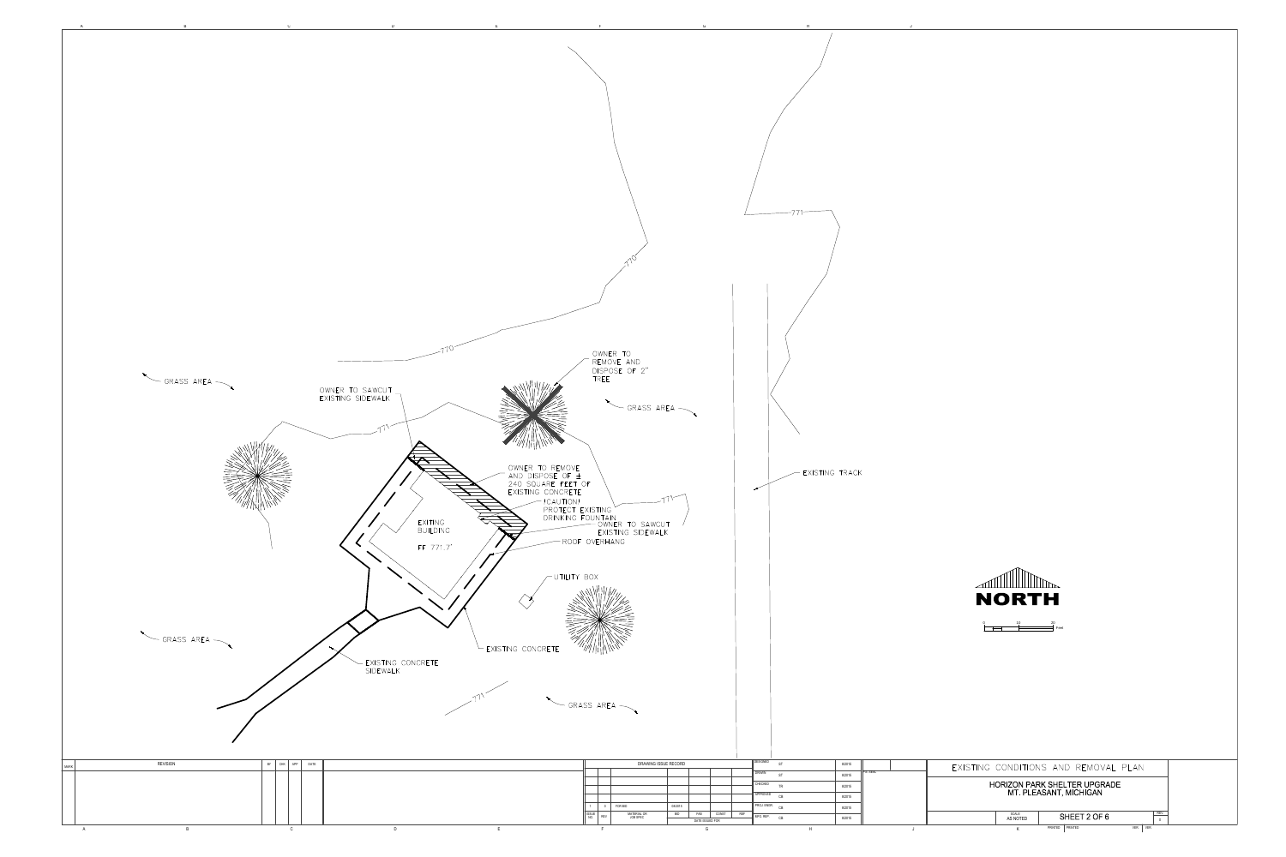



Feet 0 10 20

| 8/2015 |           | EXISTING CONDITIONS AND REMOVAL PLAN      |  |  |  |  |  |  |  |  |
|--------|-----------|-------------------------------------------|--|--|--|--|--|--|--|--|
| 8/2015 | P.E. SEAL |                                           |  |  |  |  |  |  |  |  |
| 8/2015 |           | <b>HORIZON PARK SHELTER UPGRADE</b>       |  |  |  |  |  |  |  |  |
| 8/2015 |           | MT. PLEASANT, MICHIGAN                    |  |  |  |  |  |  |  |  |
| 8/2015 |           |                                           |  |  |  |  |  |  |  |  |
| 8/2015 |           | REV.<br>SCALE<br>SHEET 2 OF 6<br>AS NOTED |  |  |  |  |  |  |  |  |
|        |           | PRINTED<br>PRINTED<br>VER.<br>VER.<br>Κ   |  |  |  |  |  |  |  |  |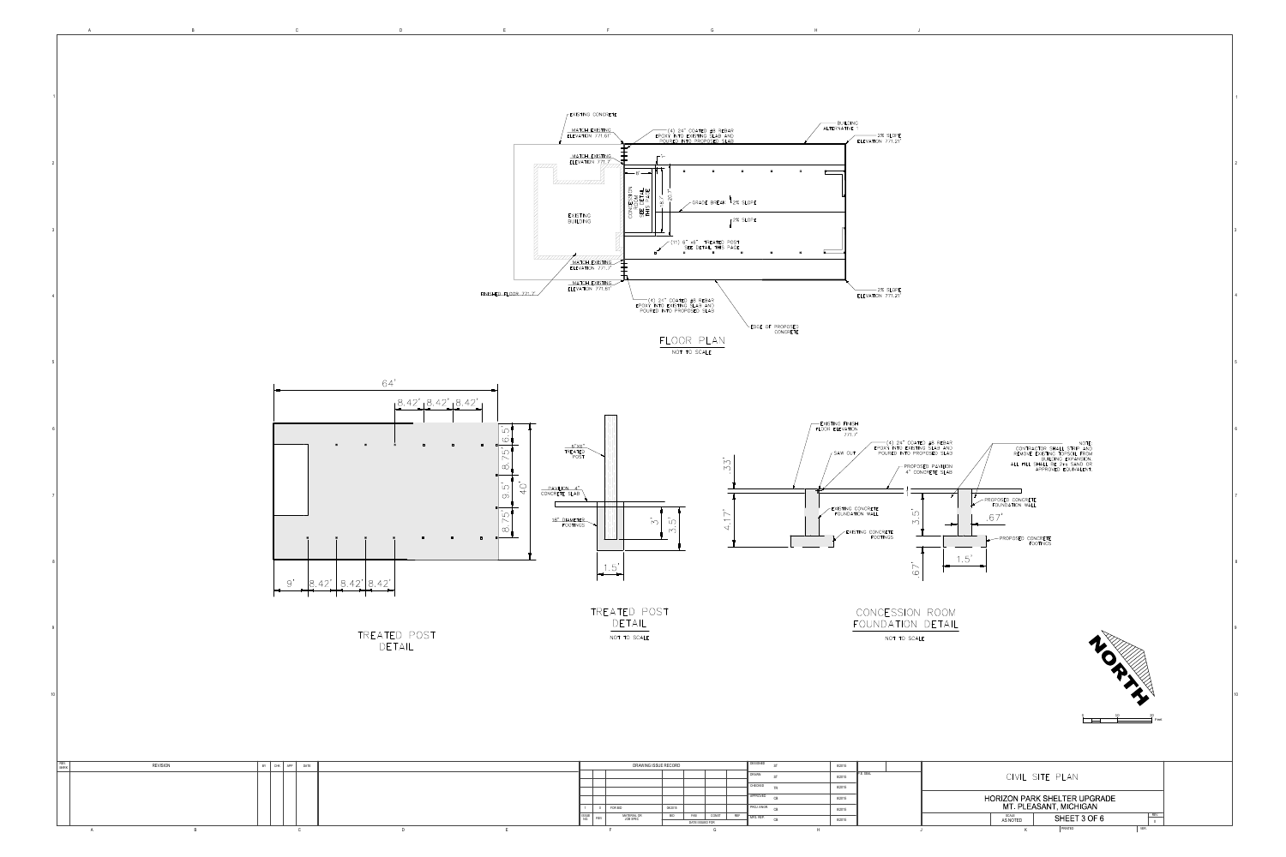

 $\overline{B}$ 

 $A$ 

 $\mathsf{C}$ 

 $D$ 

 $F$ 



 $G$ 

 $F$ 



CONCESSION ROOM FOUNDATION DETAIL NOT TO SCALE



 $H$ 

(4) 24" COATED #8 REBAR<br>EPOXY INTO EXISTING SLAB AND<br>POURED INTO PROPOSED SLAB NOTE:<br>CONTRACTOR SHALL STRIP AND<br>REMOVE EXISTING TOPSOIL FROM<br>BUILDING EXPANSION.<br>ALL FILL SHALL BE 2ns SAND OR<br>APPROVED EQUIVALENT. FROPOSED PAVILION<br>4" concrete slab PROPOSED CONCRETE<br>FOUNDATION WALL  $.67'$  $\overline{M}$  $\overline{\phantom{0}}$ PROPOSED CONCRETE  $1.5'$  $\begin{array}{c} \begin{array}{c} \begin{array}{c} \end{array}\\ \begin{array}{c} \end{array}\\ \begin{array}{c} \end{array}\\ \begin{array}{c} \end{array}\\ \begin{array}{c} \end{array}\\ \begin{array}{c} \end{array}\\ \begin{array}{c} \end{array}\\ \begin{array}{c} \end{array}\\ \begin{array}{c} \end{array}\\ \begin{array}{c} \end{array}\\ \begin{array}{c} \end{array}\\ \begin{array}{c} \end{array}\\ \begin{array}{c} \end{array}\\ \begin{array}{c} \end{array}\\ \begin{array}{c} \end{array}\\ \begin{array}{c} \end{array}\\ \begin{array}{c} \end{array}\\ \begin$  $\overline{\phantom{a}}$  $\sim 10^{-11}$ 



NOTE:

| CIVIL SITE PLAN                                               |      |
|---------------------------------------------------------------|------|
| <b>HORIZON PARK SHELTER UPGRADE</b><br>MT. PLEASANT, MICHIGAN |      |
| <b>SCALE</b><br>SHEET 3 OF 6<br>AS NOTED                      | REV. |
| VER.<br>PRINTED<br>Κ                                          |      |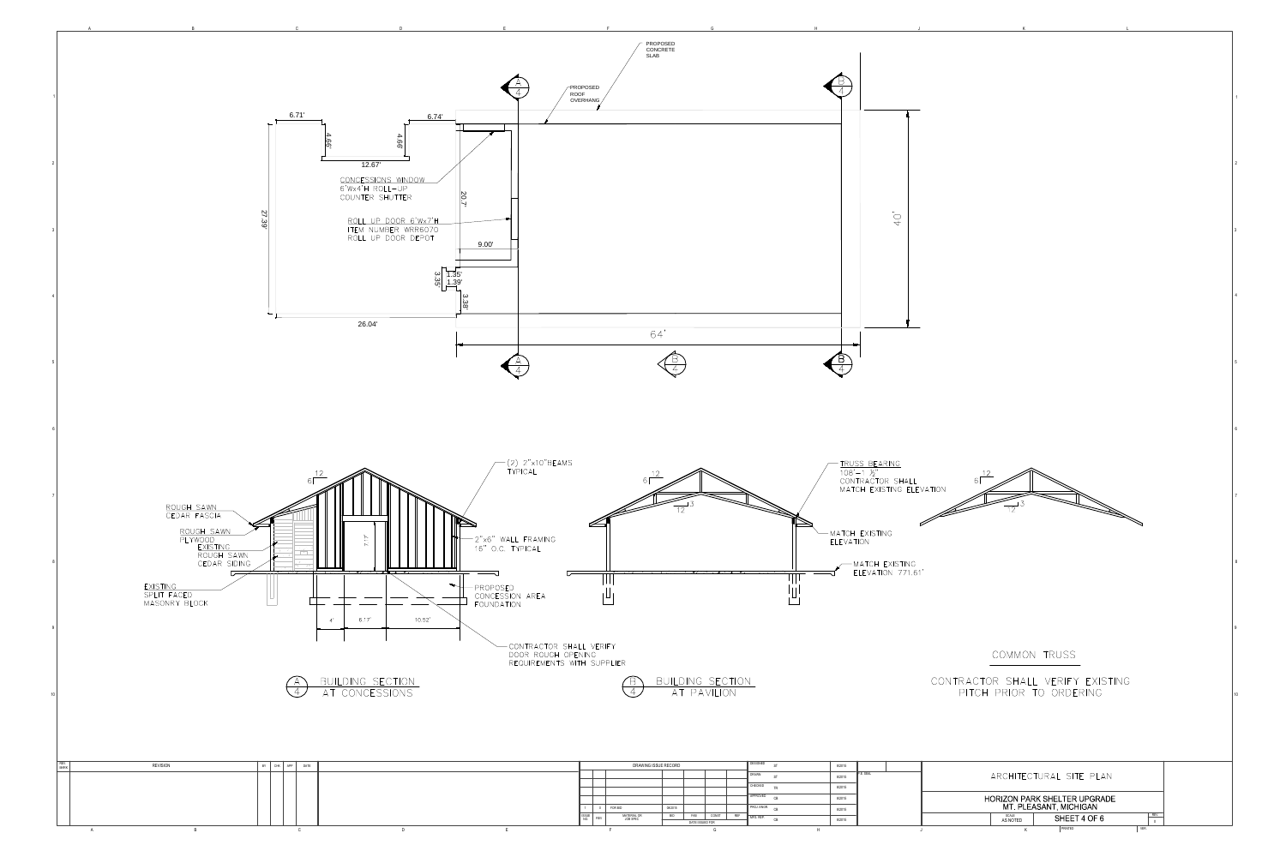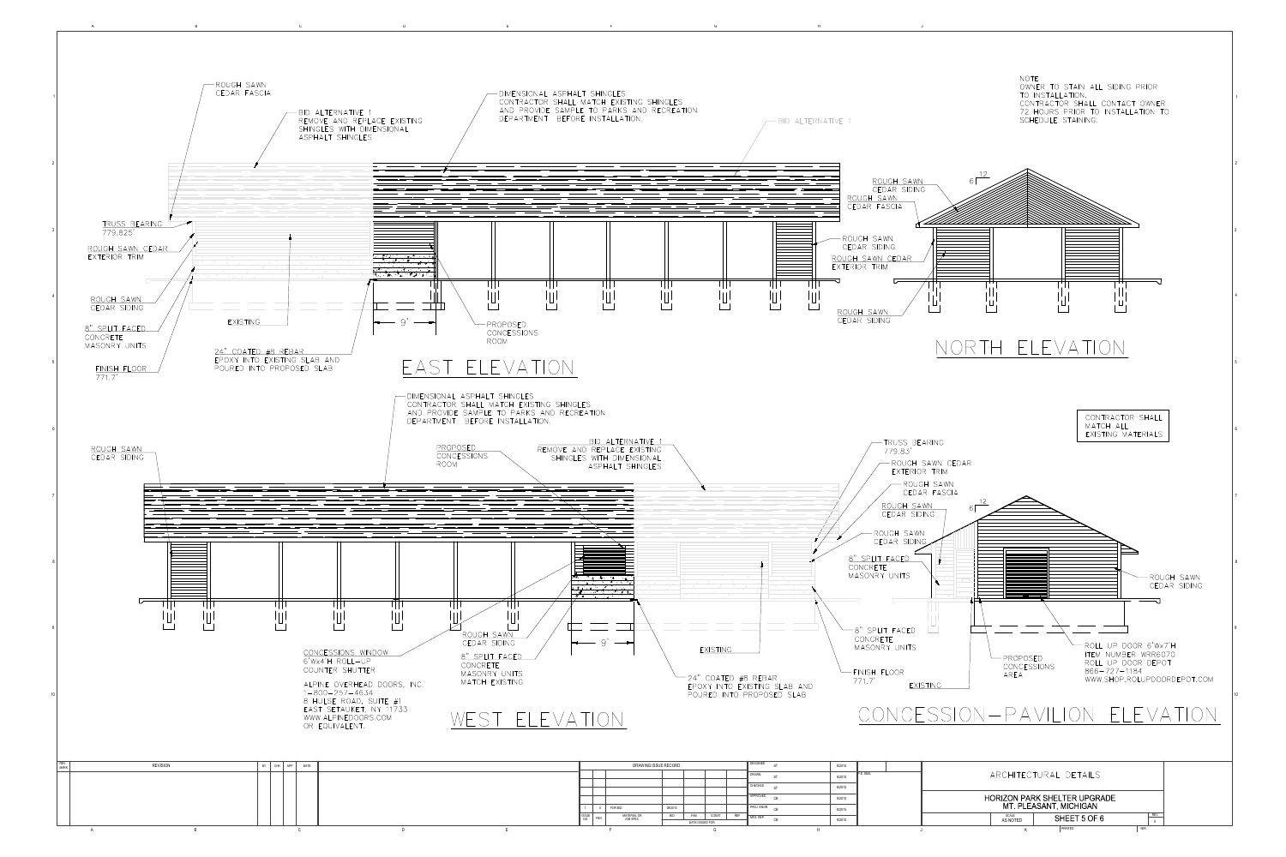